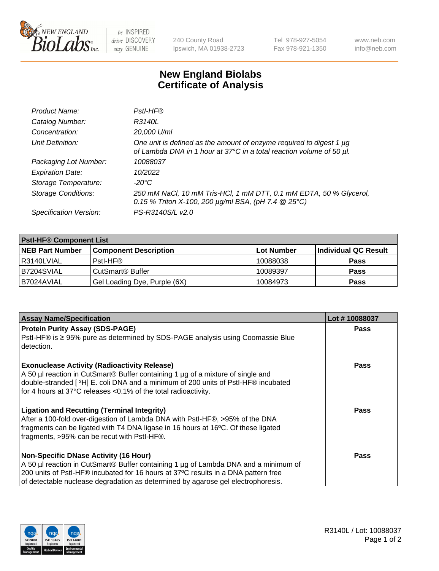

 $be$  INSPIRED drive DISCOVERY stay GENUINE

240 County Road Ipswich, MA 01938-2723 Tel 978-927-5054 Fax 978-921-1350 www.neb.com info@neb.com

## **New England Biolabs Certificate of Analysis**

| Product Name:              | Pstl-HF®                                                                                                                                    |
|----------------------------|---------------------------------------------------------------------------------------------------------------------------------------------|
| Catalog Number:            | R3140L                                                                                                                                      |
| Concentration:             | 20,000 U/ml                                                                                                                                 |
| Unit Definition:           | One unit is defined as the amount of enzyme required to digest 1 µg<br>of Lambda DNA in 1 hour at 37°C in a total reaction volume of 50 µl. |
| Packaging Lot Number:      | 10088037                                                                                                                                    |
| <b>Expiration Date:</b>    | 10/2022                                                                                                                                     |
| Storage Temperature:       | $-20^{\circ}$ C                                                                                                                             |
| <b>Storage Conditions:</b> | 250 mM NaCl, 10 mM Tris-HCl, 1 mM DTT, 0.1 mM EDTA, 50 % Glycerol,<br>0.15 % Triton X-100, 200 $\mu$ g/ml BSA, (pH 7.4 $@$ 25°C)            |
| Specification Version:     | PS-R3140S/L v2.0                                                                                                                            |

| <b>PstI-HF® Component List</b> |                              |            |                      |  |
|--------------------------------|------------------------------|------------|----------------------|--|
| <b>NEB Part Number</b>         | <b>Component Description</b> | Lot Number | Individual QC Result |  |
| R3140LVIAL                     | Pstl-HF®                     | 10088038   | <b>Pass</b>          |  |
| IB7204SVIAL                    | CutSmart® Buffer             | 10089397   | <b>Pass</b>          |  |
| IB7024AVIAL                    | Gel Loading Dye, Purple (6X) | 10084973   | <b>Pass</b>          |  |

| <b>Assay Name/Specification</b>                                                                                                                                                                                                                                                                               | Lot #10088037 |
|---------------------------------------------------------------------------------------------------------------------------------------------------------------------------------------------------------------------------------------------------------------------------------------------------------------|---------------|
| <b>Protein Purity Assay (SDS-PAGE)</b>                                                                                                                                                                                                                                                                        | <b>Pass</b>   |
| PstI-HF® is ≥ 95% pure as determined by SDS-PAGE analysis using Coomassie Blue<br>detection.                                                                                                                                                                                                                  |               |
| <b>Exonuclease Activity (Radioactivity Release)</b><br>A 50 µl reaction in CutSmart® Buffer containing 1 µg of a mixture of single and<br>double-stranded [ <sup>3</sup> H] E. coli DNA and a minimum of 200 units of PstI-HF® incubated<br>for 4 hours at 37°C releases <0.1% of the total radioactivity.    | Pass          |
| <b>Ligation and Recutting (Terminal Integrity)</b><br>After a 100-fold over-digestion of Lambda DNA with Pstl-HF®, >95% of the DNA<br>fragments can be ligated with T4 DNA ligase in 16 hours at 16°C. Of these ligated<br>fragments, >95% can be recut with Pstl-HF <sup>®</sup> .                           | Pass          |
| <b>Non-Specific DNase Activity (16 Hour)</b><br>A 50 µl reaction in CutSmart® Buffer containing 1 µg of Lambda DNA and a minimum of<br>200 units of Pstl-HF® incubated for 16 hours at 37°C results in a DNA pattern free<br>of detectable nuclease degradation as determined by agarose gel electrophoresis. | <b>Pass</b>   |